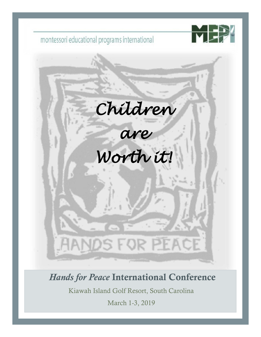

*Hands for Peace* International Conference

Kiawah Island Golf Resort, South Carolina

March 1-3, 2019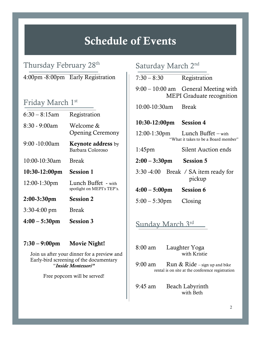# Schedule of Events

l

Thursday February 28<sup>th</sup> 4:00pm -8:00pm Early Registration

## Friday March 1st

| <b>Session 3</b>                                  |
|---------------------------------------------------|
| <b>Break</b>                                      |
| <b>Session 2</b>                                  |
| Lunch Buffet - with<br>spotlight on MEPI's TEP's. |
| <b>Session 1</b>                                  |
| <b>Break</b>                                      |
| <b>Keynote address</b> by<br>Barbara Coloroso     |
| Welcome &<br><b>Opening Ceremony</b>              |
| Registration                                      |
|                                                   |

### 7:30 – 9:00pm Movie Night!

 Join us after your dinner for a preview and Early-bird screening of the documentary "*Inside Montessori"*

Free popcorn will be served!

# Saturday March 2nd

| $7:30 - 8:30$                                                                                  | Registration                                                               |  |  |  |
|------------------------------------------------------------------------------------------------|----------------------------------------------------------------------------|--|--|--|
|                                                                                                | $9:00 - 10:00$ am General Meeting with<br><b>MEPI</b> Graduate recognition |  |  |  |
| 10:00-10:30am Break                                                                            |                                                                            |  |  |  |
| 10:30-12:00pm Session 4                                                                        |                                                                            |  |  |  |
|                                                                                                | 12:00-1:30pm Lunch Buffet - with<br>"What it takes to be a Board member"   |  |  |  |
| $1:45 \text{pm}$                                                                               | <b>Silent Auction ends</b>                                                 |  |  |  |
| $2:00 - 3:30$ pm Session 5                                                                     |                                                                            |  |  |  |
|                                                                                                | 3:30 -4:00 Break / SA item ready for<br>pickup                             |  |  |  |
| $4:00 - 5:00$ pm Session 6                                                                     |                                                                            |  |  |  |
| $5:00-5:30$ pm Closing                                                                         |                                                                            |  |  |  |
| <u>Sunday March 3rd —</u>                                                                      |                                                                            |  |  |  |
| 8:00 am<br>Laughter Yoga<br>with Kristie                                                       |                                                                            |  |  |  |
| 9:00 am<br>Run $&$ Ride – sign up and bike<br>rental is on site at the conference registration |                                                                            |  |  |  |
| $9:45$ am                                                                                      | Beach Labyrinth                                                            |  |  |  |

with Beth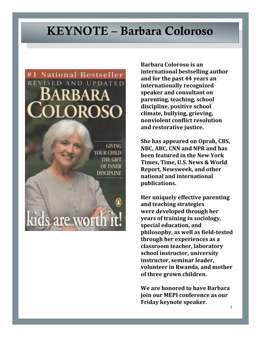# KEYNOTE – Barbara Coloroso



vorth

are

**Barbara Coloroso is an international bestselling author and for the past 44 years an internationally recognized speaker and consultant on parenting, teaching, school discipline, positive school climate, bullying, grieving, nonviolent conflict resolution and restorative justice.**

**She has appeared on Oprah, CBS, NBC, ABC, CNN and NPR and has been featured in the New York Times, Time, U.S. News & World Report, Newsweek, and other national and international publications.**

**Her uniquely effective parenting and teaching strategies were developed through her years of training in sociology, special education, and philosophy, as well as field-tested through her experiences as a classroom teacher, laboratory school instructor, university instructor, seminar leader, volunteer in Rwanda, and mother of three grown children.**

**We are honored to have Barbara join our MEPI conference as our Friday keynote speaker.**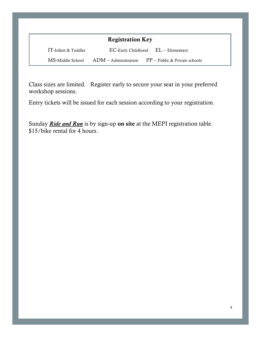| <b>Registration Key</b> |                                                           |  |  |  |
|-------------------------|-----------------------------------------------------------|--|--|--|
| IT-Infant & Toddler     | $EC$ -Early Childhood $EL$ – Elementary                   |  |  |  |
| MS-Middle School        | $ADM -$ Administration<br>$PP - Public &$ Private schools |  |  |  |

Class sizes are limited. Register early to secure your seat in your preferred workshop sessions.

Entry tickets will be issued for each session according to your registration.

Sunday *Ride and Run* is by sign-up on site at the MEPI registration table. \$15/bike rental for 4 hours.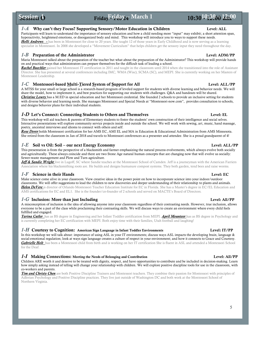### Session D Session  $\dot{\mathbf{O}}$  Friday Friday – March 1 10:30  $\frac{10!300 \cancel{200}}{2100}$

### *1-A* Why can't they Focus? Supporting Sensory/Motor Education in Children Level: ALL

Participants will learn to understand the importance of sensory education and how a child needing more "input" may exhibit; a short attention span, hyperactivity, heightened emotions, or disorganized body and mind. This workshop will introduce you to ways to support these needs.

*Holli Andrews -* has been in Montessori for close to 20 years. She taught 12 of those years in Early Childhood and is now serving as a learning specialist in Montessori. In 2008 she developed a "Movement Curriculum" that helps children get the sensory input they need throughout the day.

### *1-B* Preparation of the Administrator Level: ADM/PP

Maria Montessori talked about the preparation of the teacher but what about the preparation of the Administrator? This workshop will provide hands on and practical ways that administrators can prepare themselves for the difficult task of leading a school.

*Rachel Buechler* gained her Montessori IT certification in 2011 and taught in the classroom until 2014 when she transitioned into the role of Assistant Director. She has presented at several conferences including IMC, WMA (Wisc), SCMA (SC), and MEPI. She is currently working on her Masters of Montessori Leadership.

### *1-C* Montessori-based Multi-Tiered System of Support for All Level: ALL/PP

A MTSS for your small or large school is a research-based program of leveled support for students with diverse learning and behavior needs. We will share the model, how to implement it, and best practices for supporting our students with challenges. Q&A and handouts will be shared. *Christine Lowry* has a M.ED in special education and her Montessori credential. She founded 2 schools to provide an inclusive setting for students with diverse behavior and learning needs. She manages Montessori and Special Needs at "Montessori-now.com", provides consultation to schools, and designs behavior plans for their individual students.

### *1-D* Let's Connect: Connecting Students to Others and Themselves **Level: EL**

This workshop will aid teachers & parents of Elementary students to foster the students' own construction of their intelligence and social selves. Interactive presentations will explore community service projects inside and outside the school. We will work with sewing, art, music, hand massage, poetry, ancestral interviews and idioms to connect with others and self.

*Rose Dorer* holds Montessori certification for her AMS EC, AMI EL and MA in Education & Educational Administration from AMS Minnesota. She retired from the classroom in Jan of 2018 and travels to Montessori conferences as a presenter and attendee. She is a proud grandparent of 4!

### *1-E* Soil vs Oil: Soil – our next Energy Economy Level: ALL/PP

This presentation is from the perspective of a blacksmith and farmer emphasizing the natural process evolvements, which always evolve both socially and agriculturally. These always coincide and there are two Stone Age natural human concepts that are changing now that will evolve us socially: Sewer-waste management and Plow and Turn agriculture.

*Jeff & Sandie Wright* live in Lugoff, SC where Sandie teaches at the Montessori School of Camden. Jeff is a journeyman with the American Farriers Association where his blacksmithing roots are. He builds and designs humanure compost systems. They both garden, tend bees and raise worms.

### *1-F* Science in their Hands Level: EC

Make science come alive in your classroom. View creative ideas in the power point on how to incorporate science into your indoor/outdoor classrooms. We will offer suggestions to lead the children to new discoveries and deeper understanding of their relationship to plants and animals. *Helen DeVere* is director of Orlando Montessori Teacher Education Institute for EC in Florida. She has a Master's degree in EC/EL Education and AMS certifications for EC and EL1. She is the founder/co-founder of 2 schools and served on MACTE's Board of Directors.

### *1-G* Inclusion: More than just Including Level: All/PP

A misconception of inclusion is the idea of allowing anyone into your classroom regardless of their contrasting needs. However, true inclusion, allows everyone to be a part of the class while proclaiming their contrasting skills. We will discuss ways to create an environment where every child feels fulfilled and engaged.

*Tarina Cutler* has as BS degree in Engineering and her Infant Toddler certification from MEPI. *April Mounteer* has as BS degree in Psychology and is currently completing her EC certification with MEPI. Both enjoy time with their families, Utah football and laughing!

### *1-H* Courtesy to Cognition: American Sign Language in Infant Toddler Environments Level: IT/PP

In this workshop we will talk about: importance of using ASL in your IT environments; discuss ways ASL impacts the developing brain, language & social-emotional regulation; look at ways sign language creates a culture of respect in your environment; and how it connects to Grace and Courtesy. *Gabrielle Holt* has been a Montessori child from birth and is working on her IT certification She is fluent in ASL and attended a Montessori School for the Deaf.

### *1-I* Making Connections: Meeting the Needs of Belonging and Contribution Level: All/PP

Children ARE worth it and deserve to be treated with dignity, respect, and have opportunities to contribute and be included in decision-making. Learn how simply asking instead of telling will change your relationship with children. We will explore positive discipline tools for use in the classroom, with co-workers and parents.

*Tim and Christy Chen* are both Positive Discipline Trainers and Montessori teachers. They combine their passion for Montessori with principles of Adlerian Psychology and Positive Discipline practices. They live just outside of Washington DC and both work at the Montessori School of Northern Virginia.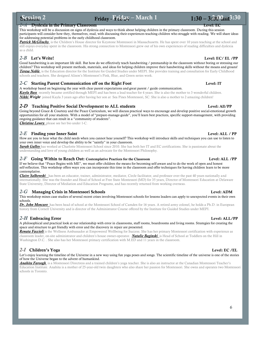### Session<sub>2</sub> Session 2 Friday – Friday – March 1  $1:30 - 3:300$  am<sup>3:30</sup>

### *2-A* Dyslexia in the Primary Classroom Level: EC

This workshop will be a discussion on signs of dyslexia and ways to think about helping children in the primary classroom. During this session participants will consider how they, themselves, read, with discussing their experiences teaching children who struggle with reading. We will share ideas for addressing potential problems in the early childhood classroom.

*Patrick McGlinchy* is the Children's House director for Keystone Montessori in Massachusetts. He has spent over 10 years teaching at the school and still enjoys everyday spent in the classroom. His strong connection to Montessori grew out of his own experiences of reading difficulties and dyslexia as a child.

### *2-B* Let's Write! Level: EC/ EL /PP

.

Good handwriting is an important life skill. But how do we effectively teach handwriting / penmanship in the classroom without boring or stressing our children? This workshop will present methods, materials, and ideas for helping children improve their handwriting skills without the moans and groans! *Teresa Noble* is the Education director for the Institute for Guided Studies under MEPI. She provides training and consultation for Early Childhood schools and teachers. She designed Alison's Montessori's Pink, Blue, and Green series work.

### 2-C Starting Parent Communication off on the Right Foot Level: IT

A workshop based on beginning the year with clear parent expectations and great parent / guide communication. *Kayla Bass* recently became certified through MEPI and has been a lead teacher for 4 years. She is also the mother to 3 wonderful children. *Nikki Wright* joined Kayla 3 years ago after having her son at Sea Pines Montessori, SC. She is also a mother to 2 amazing children!

### 2-D Teaching Positive Social Development to ALL students Level: All/PP

Going beyond Grace & Courtesy and the Peace Curriculum, we will discuss practical ways to encourage and develop positive social-emotional growth opportunities for all your students. With a model of "prepare-manage-guide", you'll learn best practices, specific support-management, with providing ongoing guidance that can result in a "community of students".

*Christine Lowry* please see her bio under 1-C.

### 2-E Finding your Inner Saint **Level: ALL / PP** Level: ALL / PP

How are you to hear what the child needs when you cannot hear yourself? This workshop will introduce skills and techniques you can use to listen to your own inner voice and develop the ability to be "saintly" in your classroom.

*Sarah Galley* has worked at Charlotte Montessori School since 2010. She has both her IT and EC certifications. She is passionate about the understanding and love of young children as well as an advocate for the Montessori Philosophy.

### 2-F Going Within to Reach Out: Contemplative Practices for the Classroom Level: ALL /PP

If we believe that "Peace Begins with ME", we must offer children the means for becoming self-aware and to do the work of open and honest self-reflection. This workshop offers ways you can incorporate this time in the classroom and offer techniques for having children learn to be more contemplative.

*Claire Salkowski* has been an educator, trainer, administrator, mediator, Circle facilitator, and professor over the past 40 years nationally and internationally. She was the founder and Head of School at Free State Montessori (MD) for 35 years, Director of Montessori Education at Delaware State University, Director of Mediation and Education Programs, and has recently returned from working overseas.

### *2-G* Managing Crisis in Montessori Schools Level: ADM

This workshop mines case studies of several recent crises involving Montessori schools for lessons leaders can apply to unexpected events in their own schools.

*Dr. John Moncure* has been head of school at the Montessori School of Camden for 16 years. A retired army colonel, he holds a Ph.D. in European history from Cornell University and is director of the Administrator Course offered by the Institute for Guided Studies under MEPI.

### *2-H* Embracing Error Level: ALL/PP

### A philosophical and practical look at our relationship with error in classrooms, staff rooms, boardrooms and living rooms. Strategies for creating the space and structure to get friendly with error and the discovery in repair are presented.

*Renata Faccioli* is the Wellness Ambassador at Empowered Wellbeing for Success. She has her primary Montessori certification with experience as classroom leader, on-site administrator and children's house owner-operator. *Natalie Baginski* is Head of School at Toddlers on the Hill in Washington D.C. . She also has her Montessori primary certification with M.ED and 11 years in the classroom.

### 2-I Children's Yoga Level: EC /EL

Let's enjoy learning the timeline of the Universe in a new way using fun yoga poses and songs. The scientific timeline of the universe is one of the stories of how the Universe began to the advent of humankind.

*Anahita Faroogh* is a Montessori Directress and a trained children's yoga teacher. She is also an instructor at the Canadian Montessori Teacher's Education Institute. Anahita is a mother of 25-year-old twin daughters who also share her passion for Montessori. She owns and operates two Montessori schools in Toronto.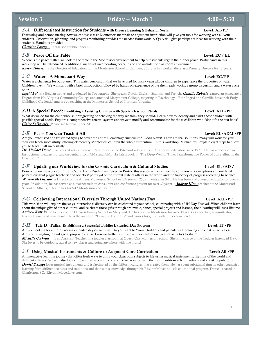### *3-A* Differentiated Instruction for Students with Diverse Learning & Behavior Needs

Discussing and demonstrating how we can use classic Montessori materials to adjust our instruction will give you tools for working with all your students. Observation, planning, and progress monitoring provides the needed framework. A Q&A will give participants ideas for working with their students. Handouts provided.

 $3.30$  Friday – March 1  $4:00-5:30$ 

**Christine Lowry** Please see her bio under 1-C

### *3-B* Peace Off the Table Level: EC / EL

Where is the peace? Often we look to the table in the Montessori environment to help our students regain their inner peace. Participants in this workshop will be introduced to additional means of incorporating peace inside and outside the classroom environment. *Karen Tolliver* is the Director of Education for the Montessori School of Camden, SC. She has worked there as a Primary Director for 17 years.

### *3-C* Water – A Montessori Way Level: EC/PP

Water is a challenge for our planet. This water curriculum that we have used for many years allows children to experience the properties of water. Children love it! We will start with a brief introduction followed by hands-on experience of the shelf ready works, a group discussion and a water cycle game.

*Ingrid Fol* is a Belgian native and graduated in Topography. She speaks Dutch, English, Spanish, and French. *Camilla Roberts* earned an Associate's Degree from No. Virginia Community College and attended Marymount College, majoring in Psychology. Both Ingrid and Camilla have their Early Childhood Credential and are co-teaching at the Montessori School of Northern Virginia.

### *3-* $D$  A Special Breed: Identifying / Assisting Children with Special classroom Needs Level: ALL/PP

What do we do for the child who isn't progressing or behaving the way we think they should? Learn how to identify and assist those children with possible special needs. Explore a comprehensive referral system and ways to modify and accommodate for those children who "don't fit the text book". *Claire Salkowski* Please see her bio under 2-F.

### $3-E$  Pt 1 – You Can Teach it All  $\overline{AP}$

Are you exhausted and frustrated trying to cover the entire Elementary curriculum? Good News! There are real solutions; many will work for you! You can teach successfully, offering elementary Montessori children the whole curriculum. In this workshop, Michael will explain eight steps to allow you to teach it all successfully.

*Dr. Michael Dorer* has worked with children in Montessori since 1969 and with adults in Montessori education since 1978. He has a doctorate in Instructional Leadership, and credentials from AMS and AMI. His latest book is "The Deep Well of Time: Transformative Power of Storytelling in the Classroom"

### *3-F* Updating our Worldview for the Cosmic Curriculum & Cultural Studies Level: EL /AD /

Borrowing on the works of Fritjoff Capra, Hans Riseling and Stephen Pinker, this session will examine the common misconceptions and outdated perceptions that plague teachers' and societies' portrayal of the current state of affairs in the world and the trajectory of progress according to science. *Warren McPherson* is Director of the Athens Montessori School in GA serving 250 students ages 3-15. He has been a Montessori educator for over 45 years. In addition, he has served as a teacher trainer, consultant and conference present for over 30 years. *Andrew Kim* teaches at the Montessori School of Athens, GA and has his 6-12 Montessori certification.

### *3-G* Celebrating International Diversity Through United Nations Day Level: ALL/PP

This workshop will explore the ways international diversity can be celebrated at your school, culminating with a UN Day Festival. When children learn about the unique gifts of other cultures, and celebrate those gifts through art, music, dance, special projects and lessons, their learning will last a lifetime. *Andrew Kutt* is the founder of the Oneness Family School in Maryland. He has been in Montessori for over 30 years as a teacher, administrator, teacher trainer and consultant. He is the author of "Living in Harmony" and carries his guitar with him everywhere!

### *3-H* T.E.D. Talks: Establishing a Successful <u>T</u>oddler <u>E</u>xtended Day Program Level: IT /PP

Are you looking for a more exciting extended day curriculum? Do you want to "wow" toddlers and parents with amazing and creative activities? Are you struggling to find age appropriate crafts? Look no further as I have a binder full of one year of activities to share!

*Michelle Cochran* is an Assistant Teacher in a toddler classroom at Queen City Montessori School. She is in charge of the Toddler Extended Day. She loves to be outdoors, travel to new places and going anywhere with live music!

### *3-I* Using Musical Instruments & Culture to Augment Core Curriculum Level: All /PP

An interactive learning journey that offers fresh ways to bring your classroom subjects to life using musical instruments, rhythms of the world and different cultures. We will also look at how music is a unique and effective way to reach the most hard-to-reach individuals and at-risk populations. *Daniel Scruggs* loves musical instruments and is fascinated by the different cultures that created them. He has spent substantial time in other countries learning from different cultures and traditions and shares this knowledge through his RhythmMoves holistic educational program. Daniel is based in Charleston, SC. RhythmMovesLive.com

### Level: All/PP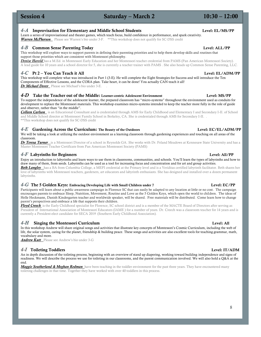### 4-A Improvisation for Elementary and Middle School Students

Learn a series of improvisational and theater games, which teach focus, build confidence in performance, and spark creativity. *Warren McPherson* Please see Warren's bio under 3-F. \*\*This workshop does not qualify for SC-DSS credit

### *4-B* Common Sense Parenting Today Level: ALL/PP

This workshop will explore ways to support parents in defining their parenting priorities and to help them develop skills and routines that support those priorities which are consistent with Montessori philosophy.

*Denise Harold* has a M.Ed. in Montessori Early Education and her Montessori teacher credential from PAMS (Pan American Montessori Society). A lead guide for 10 years and a school director for 5, she is currently a teacher trainer with PAMS . She also heads up Common Sense Parenting, LLC.

 $Saturday - March 2$   $10:30 - 12:00$ 

### *4-C* Pt 2 – You Can Teach it All Level: EL/ADM/PP

This workshop will complete what was introduced in Part 1 (3-E). He will complete the Eight Strategies for Success and will introduce the Ten Components of Effective Lessons, and the CORA plan. Take heart, it can be done! You actually CAN teach it all! *Dr Michael Dorer* Please see Michael's bio under 3-E.

### 4-D Take the Teacher out of the Middle: Learner-centric Adolescent Environment Level: MS/PP

To support the independence of the adolescent learner, the prepared classroom has "micro-systems" throughout the environment used as conduits for development to replace the Montessori materials. This workshop examines micro-systems intended to keep the teacher more fully in the role of guide and observer, rather than "in the middle".

*Colleen Carlson* is an Educational Consultant and is credentialed through AMS for Early Childhood and Elementary I and Secondary I-II. of School and Middle School director at Montessori Family School in Berkeley, CA. She is credentialed through AMS for Secondary I-II. . \*\*This workshop does not qualify for SC-DSS credit

### *4-E* Gardening Across the Curriculum: The Beauty of the Outdoors Level: EC/EL/ADM/PP

We will be taking a look at utilizing the outdoor environment as a learning classroom through gardening experiences and touching on all areas of the classroom.

*Dr Teresa Turner* is a Montessori Director of a school in Reynolds GA. She works with Dr. Feland Meadows at Kennesaw State University and has a Master Montessori Teacher Certificate from Pan American Montessori Society (PAMS)

### *4-F* Labyrinths for Beginners Level: All/PP

Enjoy an introduction to labyrinths and learn ways to use them in classrooms, communities, and schools. You'll learn the types of labyrinths and how to draw many of them, from seeds. Labyrinths can be used as a tool for increasing focus and concentration and for art and group activities.

*Beth Langley* has a BA from Columbia College, a MEPI credential at the Primary level and is a Veriditas certified labyrinth facilitator. Beth shares her love of labyrinths with Montessori teachers, gardeners, art educators and labyrinth enthusiasts. She has designed and installed over a dozen permanent labyrinths.

### *4-G* The 5 Golden Keys: Embracing Developing Life with Small Children under 7 Level: EC/PP

Participants will learn about a public awareness campaign in Florence SC that can easily be adapted to any location at little or no cost. The campaign encourages parents to embrace Sleep, Nutrition, Movement, Routine and Love as the 5 Golden Keys, which open the world to children. The ideas of Helle Heckmann, Danish Kindergarten teacher and worldwide speaker, will be shared. Free materials will be distributed. Come learn how to change parent's perspectives and embrace a life that supports their children.

*Floyd Creech* is the Early Childhood specialist for Florence, SC school district and is a member of the MACTE Board of Directors after serving as President of International Association of Montessori Educators (IAME ) for a number of years. Dr. Creech was a classroom teacher for 14 years and is currently a President-elect candidate for SECA 2019 (Southern Early Childhood Association).

### *4-H* Singing the Montessori Curriculum Level: All

In this workshop Andrew will share original songs and activities that illustrate key concepts of Montessori's Cosmic Curriculum, including the web of life, the solar system, caring for the planet, friendship & building peace. These songs and activities are also excellent tools for teaching grammar, math, vocabulary and more.

*Andrew Kutt* Please see Andrew's bio under 3-G

### *4-I* Toileting Toddlers Level: IT/ADM

An in depth discussion of the toileting process, beginning with an overview of stand up diapering, working toward building independence and signs of readiness. We will describe the process we use for toileting in our classrooms, and the parent communication involved. We will also hold a Q&A at the end.

*Maggie Southerland & Meghan Redman* have been teaching in the toddler environment for the past three years. They have encountered many toileting challenges in that time. Together they have worked with over 40 toddlers in this process.



### Level: EL/MS/PP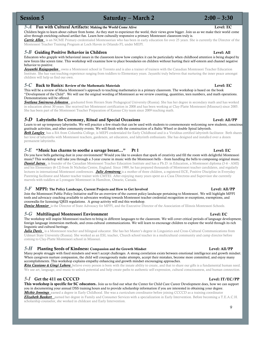5-A Fun with Cultural Artifacts: Making the World Come Alive<br>Children begin to learn about culture from home. As they start to experience the world, their views grow bigger. Join us as we make their world come alive through enriching cultural artifact fun. Learn how culturally responsive a primary Montessori classroom truly is.

 $Saturday - March 2$  2:00 – 3:30

*Carrie Allen* is an NCME Primary credentialed Montessorian who has been in early education for over 25 years. She is currently the Director of the Montessori Teacher Training Program at Loch Haven in Orlando FL under MEPI.

### *5-B* Guiding Positive Behavior in Children **Level: All** Level: All Level: All Level: All

Educators who grapple with behavioral issues in the classroom know how complex it can be particularly when childhood attention is being shaped by new forces like screen time. This workshop will examine how to place boundaries on children without hurting their self-esteem and channel negative behavior to positive.

*Jayanthi Rajagopalan* owns a Montessori school in Toronto and is also a trainer of trainers with the Canadian Montessori Teacher Education Institute. She has vast teaching experience ranging from toddlers to Elementary years. Jayanthi truly believes that nurturing the inner peace amongst children will help us find our own.

### *5-C* Back to Basics: Review of the Mathematic Materials Level: EC

This will be a review of Maria Montessori's approach to teaching mathematics in a primary classroom. The workshop is based on the book "Development of the Child". We will use the original wording of Montessori as we review counting, quantities, teen numbers, and math operations. Demonstrations will be offered.

*Svetlana Smirnova-Johnston* graduated from Herzen State Pedagogical University (Russia). She has her degree in secondary math and has worked in education about 30 years. She received her Montessori certification in 2008 and has been working at Clay-Platte Montessori (Missouri) since 2005. She has been part of the Montessori Teacher Preparation of Kansas City team since 2009 teaching math.

### *5-D* Labyrinths for Ceremony, Ritual and Special Occasions Level: All/PP

Learn to set up temporary labyrinths. We will practice a few rituals that can be used with students to commemorate welcoming new students, conscious gratitude activities, and other community events. We will finish with the construction of a Baltic Wheel or double Spiral labyrinth.

*Beth Langley* has a BA from Columbia College, is MEPI credentialed for Early Childhood and is a Veriditas certified labyrinth facilitator. Beth shares her love of labyrinths with Montessori teachers, gardeners, art educators, and labyrinth enthusiasts. She has designed and installed over a dozen permanent labyrinths.

### *5-E* "Music has charms to soothe a savage breast..." Pt 1 Level: EC

Do you have bells gathering dust in your environment? Would you like to awaken that spark of creativity and fill the room with delightful Montessori music? This workshop will take you through a 3-year course in music with the Montessori bells – from handling the bells to composing original music. *Daniel Jutras* is founder of the Canadian Montessori Teacher Education Institute and has a Ph.D. in Education, a Montessori diploma (3-6 - AMI) and his Elementary (6-12) from St Nicholas Centre, England. Since 1989, he has prepared thousands of Montessori teacher candidates, and regularly lectures in international Montessori conferences. *Julie Armstrong* is a mother of three children, a registered ECE, Positive Discipline in Everyday Parenting facilitator and Master teacher trainer with CMTEI. After enjoying many years spent as a Casa Directress and Supervisor she currently marvels with toddlers at Lyonsgate Montessori in Hamilton, Ontario, Canada.

### *5-F* MPPI: The Policy Landscape, Current Projects and How to Get Involved Level: All/PP

Join the Montessori Public Policy Initiative staff for an overview of the current policy landscape pertaining to Montessori. We will highlight MPPI tools and advocacy coaching available to advocates working towards Montessori teacher credential recognition or exceptions, exemptions, and crosswalks for licensing/QRIS regulations. A group activity will end this workshop.

*Denise Monnier* is the Director of State Advocacy for MPPI, and the Executive Director of the Association of Illinois Montessori Schools.

### *5-G* Multilingual Montessori Environment Level: EC

The workshop will inspire Montessori teachers to bring in different languages to the classroom. We will cover critical periods of language development, foreign language immersion methods, and cross-cultural communications. We will learn to encourage children to explore the world through its rich linguistic and cultural heritage.

*Julia Davis* is a Montessori teacher and bilingual educator. She has her Master's degree in Linguistics and Cross-Cultural Communications from Udmurt State University (Russia). She worked as an ESL teacher, Church school teacher in a multicultural community and camp director before coming to Clay-Platte Montessori school in Missouri.

### *5-H* Planting Seeds of Kindness: Compassion and the Growth Mindset **Lexample 2006** Level: All/PP

Many people struggle with fixed mindsets and won't accept challenges. A strong correlation exists between emotional intelligence and growth mindset. When caregivers nurture compassion, the child will courageously make attempts, accept their mistakes, become more committed, and enjoy many accomplishments. This workshop explains empathy enhancing and growth mindset encouraging approaches.

*Rita Cassiano & Gingi Lahera* believe every person is born with the innate ability to create, and that to share our gifts is a fundamental human need. We use art, language, and music to unlock potential and help create paths to authentic self-expression, cultural consciousness, and human connection.

### *5-I* Get the 411 on CCCCD Level: IT/EC/PP

This workshop is specific for SC educators. Join us to find out what the Center for Child Care Career Development does, how we can support you in documenting your annual DSS training hours and to provide scholarship information if you are interested in obtaining your degree. *Mickie Jennings* earned a degree in Early Childhood. She was a curriculum coordinator before joining CCCCD as a training coordinator

*Elizabeth Bankert* earned her degree in Family and Consumer Services with a specialization in Early Intervention. Before becoming a T.E.A.C.H. scholarship counselor, she worked in childcare and Early Intervention.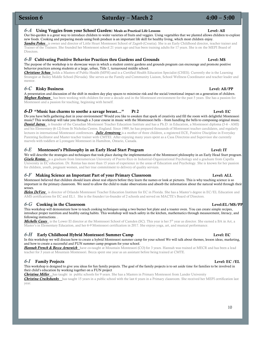### h *6-A* Using Veggies from your School Garden: Meals as Practical Life Lessons 1:30 – 1:30 – 3:00 Level: All

Our bio-garden is a great way to introduce children to wider varieties of fruits and veggies. Using vegetables that we planted allows children to explore new foods. Cooking and preparing meals using fresh produce is an important life skill for healthy living, which most children enjoy.

 $Saturday - March 2$  4:00 – 5:00

*Sandra Pokos* is owner and director of Little Heart Montessori School of Zagreb (Croatia). She is an Early Childhood director, teacher trainer and Trainer of the Trainers. She founded her Montessori school 21 years ago and has been training adults for 17 years. She is on the MEPI Board of Directors.

### *6-B* Cultivating Positive Behavior Practices thru Gardens and Grounds Level: MS

The purpose of the workshop is to showcase ways in which a student centric gardens and grounds program can encourage and promote positive behavior practices among students at a large, urban, Title 1, turnaround middle school.

*Christiane Schau* holds a Masters of Public Health (MPH) and is a Certified Health Education Specialist (CHES). Currently she is the Learning Strategist at Bailey Middle School (Nevada). She serves as the Family and Community Liaison, School Wellness Coordinator and teacher leader and mentor.

### *6-C* Risky Business Level: All/PP

A presentation and discussion of the shift in modern day play spaces to minimize risk and the social/emotional impact on a generation of children. *Meghan Redman* has been working with children for over a decade and in the Montessori environment for the past 5 years. She has a passion for Montessori and a passion for teaching, beginning with herself.

### **6-D** "Music has charms to soothe a savage breast..." Pt 2 Level: EC

Do you have bells gathering dust in your environment? Would you like to awaken that spark of creativity and fill the room with delightful Montessori music? This workshop will take you through a 3-year course in music with the Montessori bells – from handling the bells to composing original music. **Daniel Jutras** is founder of the Canadian Montessori Teacher Education Institute and has a Ph.D. in Education, a Montessori diploma (3-6 - AMI) and his Elementary (6-12) from St Nicholas Centre, England. Since 1989, he has prepared thousands of Montessori teacher candidates, and regularly lectures in international Montessori conferences. *Julie Armstrong* is a mother of three children, a registered ECE, Positive Discipline in Everyday Parenting facilitator and Master teacher trainer with CMTEI. After enjoying many years spent as a Casa Directress and Supervisor she currently marvels with toddlers at Lyonsgate Montessori in Hamilton, Ontario, Canada.

### *6-E* Montessori's Philosophy in an Early Head Start Program Level: IT

We will describe the strategies and techniques that took place during the implementation of the Montessori philosophy in an Early Head Start program. *Gisela Rentas* is a graduate from Interamerican University of Puerto Rico in Industrial-Organizational Psychology and a graduate from Capella University in EC education. Dr. Rentas has more than 15 years of experience in the areas of Education and Psychology. She is known for her passion for children, youth, pregnant women, and her true commitment to delivery of quality services.

### *6-F* Making Science an Important Part of your Primary Classroom Level: ALL

Montessori believed that children should learn about real objects before they learn the names or look at pictures. This is why teaching science is so important in the primary classroom. We need to allow the child to make observations and absorb the information about the natural world through their senses.

*Helen DeVere* is director of Orlando Montessori Teacher Education Institute for EC in Florida. She has a Master's degree in EC/EL Education and AMS certifications for EC and EL1. She is the founder/co-founder of 2 schools and served on MACTE's Board of Directors.

### *6-G* Cooking in the Classroom Level:EL/MS/PP

This workshop will demonstrate how to teach cooking techniques using a two burner hot plate and a toaster oven. You can create simple recipes, introduce proper nutrition and healthy eating habits. This workshop will teach safety in the kitchen, mathematics through measurement, literacy, and following instructions. .

*Michelle Casey* is the Lower El director at the Montessori School of Camden (SC). This year is her 5th year as director. She earned a BA in Art, a Master's in Elementary Education, and her 6-9 Montessori certification in 2017. She enjoys yoga, art, and musical performance.

### *6-H* Early Childhood Hybrid Montessori Summer Camp Level: EC

In this workshop we will discuss how to create a hybrid Montessori summer camp for your school We will talk about themes, lesson ideas, marketing, and how to create a successful and FUN summer camp program for your school.

*Hannah French & Becca Arnowich* have co-taught at Mountain Montessori (CO) for 3 years. Hannah was trained at MECR and has been a lead teacher for 3 years at Mountain Montessori. Becca spent one year as an assistant before being trained at CMTE.

### *6-I* Family Projects Level: EC /EL

This workshop is designed to give you ideas for fun family projects. The goal of the family projects is to set aside time for families to be involved in their child's education by working together on a FUN project

*Christina Miller* has taught in public schools for 9 years. She has a Masters in Primary Montessori from Lander University *Christina Cruikshanks* has taught 15 years in a public school with the last 6 years in a Primary classroom. She received her MEPI certification last year.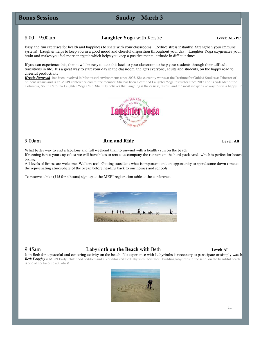### **Bonus Sessions**

### Sunday – March 3

8:00 – 9:00am Laughter Yoga with Kristie Level: All/PP

h Friday – Feb 24 1:30 – 3:00 – 3:00 – 3:00 – 3:00 – 3:00 – 3:00 – 3:00 – 3:00 – 3:00 – 3:00 – 3:00 – 3:00 – 3<br>The state of the state of the state of the state of the state of the state of the state of the state of the st

Easy and fun exercises for health and happiness to share with your classrooms! Reduce stress instantly! Strengthen your immune system! Laughter helps to keep you in a good mood and cheerful disposition throughout your day. Laughter Yoga oxygenates your brain and makes you feel more energetic which helps you keep a positive mental attitude in difficult times.

If you can experience this, then it will be easy to take this back to your classroom to help your students through their difficult transitions in life. It's a great way to start your day in the classroom and gets everyone, adults and students, on the happy road to cheerful productivity!

*Kristie Norwood* has been involved in Montessori environments since 2003. She currently works at the Institute for Guided Studies as Director of Student Affairs and is an MEPI conference committee member. She has been a certified Laughter Yoga instructor since 2012 and is co-leader of the Columbia, South Carolina Laughter Yoga Club. She fully believes that laughing is the easiest, fastest, and the most inexpensive way to live a happy life



### 9:00am **Run and Ride** Level: All Level: All Level: All Level: All Level: All Level: All Level: All Level: All Level: All Level: All Level: All Level: All Level: All Level: All Level: All Level: All Level: All Level: All Le

What better way to end a fabulous and full weekend than to unwind with a healthy run on the beach! If running is not your cup of tea we will have bikes to rent to accompany the runners on the hard-pack sand, which is perfect for beach biking.

All levels of fitness are welcome. Walkers too!! Getting outside is what is important and an opportunity to spend some down time at the rejuvenating atmosphere of the ocean before heading back to our homes and schools.

To reserve a bike (\$15 for 4 hours) sign up at the MEPI registration table at the conference.



### 9:45am **Labyrinth on the Beach** with Beth Level: All

Join Beth for a peaceful and centering activity on the beach. No experience with Labyrinths is necessary to participate or simply watch. *Beth Langley* is MEPI Early Childhood certified and a Veriditas certified labyrinth facilitator. Building labyrinths in the sand, on the beautiful beach is one of her favorite activities!

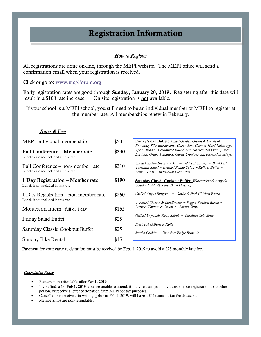# Registration Information

### *How to Register*

All registrations are done on-line, through the MEPI website. The MEPI office will send a confirmation email when your registration is received.

### Click or go to: [www.mepiforum.org](http://www.mepiforum.org/)

Early registration rates are good through Sunday, January 20, 2019. Registering after this date will result in a \$100 rate increase. On site registration is **not** available.

If your school is a MEPI school, you still need to be an individual member of MEPI to register at the member rate. All memberships renew in February.

### *Rates & Fees*

| MEPI individual membership                                                    | \$50  | <b>Friday Salad Buffet:</b> Mixed Garden Greens & Hearts of<br>Romaine, Slice mushrooms, Cucumbers, Carrots, Hard-boiled eggs,                                               |
|-------------------------------------------------------------------------------|-------|------------------------------------------------------------------------------------------------------------------------------------------------------------------------------|
| <b>Full Conference – Member rate</b><br>Lunches are not included in this rate | \$230 | Aged Cheddar & crumbled Blue cheese, Shaved Red Onion, Bacon<br>Lardons, Grape Tomatoes, Garlic Croutons and assorted dressings.                                             |
| Full Conference – non-member rate<br>Lunches are not included in this rate    | \$310 | Sliced Chicken Breasts $\sim$ Marinated local Shrimp $\sim$ Basil Pesto<br>Tortellini Salad ~ Roasted Potato Salad ~ Rolls & Butter ~<br>Lemon Tarts ~ Individual Pecan Pies |
| 1 Day Registration – Member rate<br>Lunch is not included in this rate        | \$190 | <b>Saturday Classic Cookout Buffet:</b> Watermelon & Arugula<br>Salad w/ Feta & Sweet Basil Dressing                                                                         |
| 1 Day Registration – non member rate<br>Lunch is not included in this rate    | \$260 | Grilled Angus Burgers $\sim$ Garlic & Herb Chicken Breast<br>Assorted Cheeses & Condiments $\sim$ Pepper Smoked Bacon $\sim$                                                 |
| Montessori Intern -full or 1 day                                              | \$165 | Lettuce, Tomato & Onion $\sim$ Potato Chips                                                                                                                                  |
| Friday Salad Buffet                                                           | \$25  | Grilled Vegetable Pasta Salad $\sim$ Carolina Cole Slaw<br>Fresh baked Buns & Rolls                                                                                          |
| Saturday Classic Cookout Buffet                                               | \$25  | Jumbo Cookies ~ Chocolate Fudge Brownie                                                                                                                                      |
| Sunday Bike Rental                                                            | \$15  |                                                                                                                                                                              |

Payment for your early registration must be received by Feb. 1, 2019 to avoid a \$25 monthly late fee.

### To register – go to the MEPI website – www.mepiforum.org **Cancellation Policy**

- Fees are non-refundable after Feb 1, 2019.
- If you find, after Feb 1, 2019 you are unable to attend, for any reason, you may transfer your registration to another person, or receive a letter of donation from MEPI for tax purposes.
- Cancellations received, in writing, prior to Feb 1, 2019, will have a \$45 cancellation fee deducted.
- Memberships are non-refundable.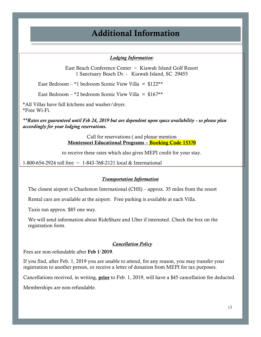# Additional Information

### *Lodging Information:*

East Beach Conference Center ~ Kiawah Island Golf Resort 1 Sanctuary Beach Dr. - Kiawah Island, SC 29455

East Bedroom – \*1 bedroom Scenic View Villa =  $$122**$ 

East Bedroom – \*2 bedroom Scenic View Villa =  $$167**$ 

\*All Villas have full kitchens and washer/dryer. \*Free Wi-Fi.

*\*\*Rates are guaranteed until Feb 24, 2019 but are dependent upon space availability - so please plan accordingly for your lodging reservations.*

> Call for reservations ( and please mention Montessori Educational Programs – Booking Code 15370

to receive these rates which also gives MEPI credit for your stay.

1-800-654-2924 toll free ~ 1-843-768-2121 local & International

### *Transportation Information*

The closest airport is Charleston International (CHS) – approx. 35 miles from the resort

Rental cars are available at the airport. Free parking is available at each Villa.

Taxis run approx. \$85 one way.

We will send information about RideShare and Uber if interested. Check the box on the registration form.

### *Cancellation Policy*

Fees are non-refundable after Feb 1, 2019.

If you find, after Feb. 1, 2019 you are unable to attend, for any reason, you may transfer your registration to another person, or receive a letter of donation from MEPI for tax purposes.

Cancellations received, in writing, **prior** to Feb. 1, 2019, will have a \$45 cancellation fee deducted.

Memberships are non-refundable.